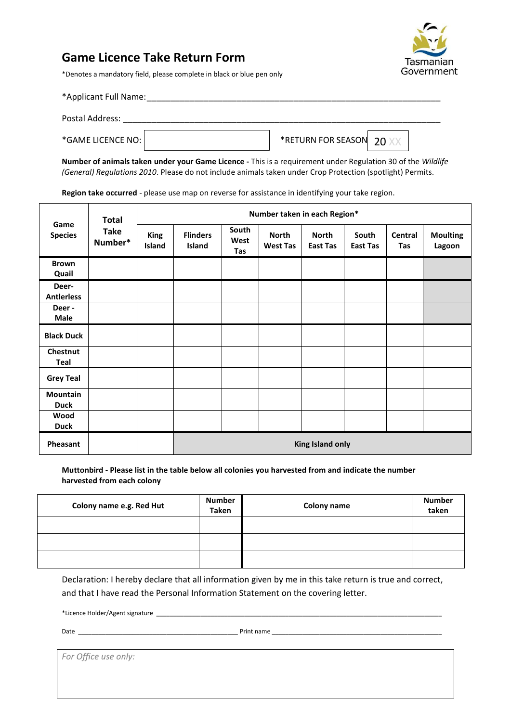

## **Game Licence Take Return Form**

\*Denotes a mandatory field, please complete in black or blue pen only

| *Applicant Full Name: |                                                                                                                                                                                                                                         |
|-----------------------|-----------------------------------------------------------------------------------------------------------------------------------------------------------------------------------------------------------------------------------------|
| Postal Address:       |                                                                                                                                                                                                                                         |
| *GAME LICENCE NO:     | *RETURN FOR SEASON 20                                                                                                                                                                                                                   |
|                       | $\bullet$ . If the set of the set of the set of the set of $\bullet$ is the set of the set of the set of the set of the set of the set of the set of the set of the set of the set of the set of the set of the set of the set of the s |

**Number of animals taken under your Game Licence -** This is a requirement under Regulation 30 of the *Wildlife (General) Regulations 2010*. Please do not include animals taken under Crop Protection (spotlight) Permits.

**Region take occurred** - please use map on reverse for assistance in identifying your take region.

| Game<br><b>Species</b>     | <b>Total</b><br><b>Take</b><br>Number* | Number taken in each Region* |                           |                      |                                 |                                 |                          |                |                           |
|----------------------------|----------------------------------------|------------------------------|---------------------------|----------------------|---------------------------------|---------------------------------|--------------------------|----------------|---------------------------|
|                            |                                        | <b>King</b><br>Island        | <b>Flinders</b><br>Island | South<br>West<br>Tas | <b>North</b><br><b>West Tas</b> | <b>North</b><br><b>East Tas</b> | South<br><b>East Tas</b> | Central<br>Tas | <b>Moulting</b><br>Lagoon |
| <b>Brown</b><br>Quail      |                                        |                              |                           |                      |                                 |                                 |                          |                |                           |
| Deer-<br><b>Antierless</b> |                                        |                              |                           |                      |                                 |                                 |                          |                |                           |
| Deer-<br><b>Male</b>       |                                        |                              |                           |                      |                                 |                                 |                          |                |                           |
| <b>Black Duck</b>          |                                        |                              |                           |                      |                                 |                                 |                          |                |                           |
| Chestnut<br>Teal           |                                        |                              |                           |                      |                                 |                                 |                          |                |                           |
| <b>Grey Teal</b>           |                                        |                              |                           |                      |                                 |                                 |                          |                |                           |
| Mountain<br><b>Duck</b>    |                                        |                              |                           |                      |                                 |                                 |                          |                |                           |
| Wood<br><b>Duck</b>        |                                        |                              |                           |                      |                                 |                                 |                          |                |                           |
| Pheasant                   |                                        |                              | King Island only          |                      |                                 |                                 |                          |                |                           |

**Muttonbird - Please list in the table below all colonies you harvested from and indicate the number harvested from each colony**

| Colony name e.g. Red Hut | <b>Number</b><br>Taken | Colony name | <b>Number</b><br>taken |
|--------------------------|------------------------|-------------|------------------------|
|                          |                        |             |                        |
|                          |                        |             |                        |
|                          |                        |             |                        |

Declaration: I hereby declare that all information given by me in this take return is true and correct, and that I have read the Personal Information Statement on the covering letter.

\*Licence Holder/Agent signature \_\_\_\_\_\_\_\_\_\_\_\_\_\_\_\_\_\_\_\_\_\_\_\_\_\_\_\_\_\_\_\_\_\_\_\_\_\_\_\_\_\_\_\_\_\_\_\_\_\_\_\_\_\_\_\_\_\_\_\_\_\_\_\_\_\_\_\_\_\_\_\_\_\_\_\_\_\_\_\_\_\_\_\_

Date \_\_\_\_\_\_\_\_\_\_\_\_\_\_\_\_\_\_\_\_\_\_\_\_\_\_\_\_\_\_\_\_\_\_\_\_\_\_\_\_\_\_\_\_\_\_\_ Print name \_\_\_\_\_\_\_\_\_\_\_\_\_\_\_\_\_\_\_\_\_\_\_\_\_\_\_\_\_\_\_\_\_\_\_\_\_\_\_\_\_\_\_\_\_\_\_\_\_\_

*For Office use only:*